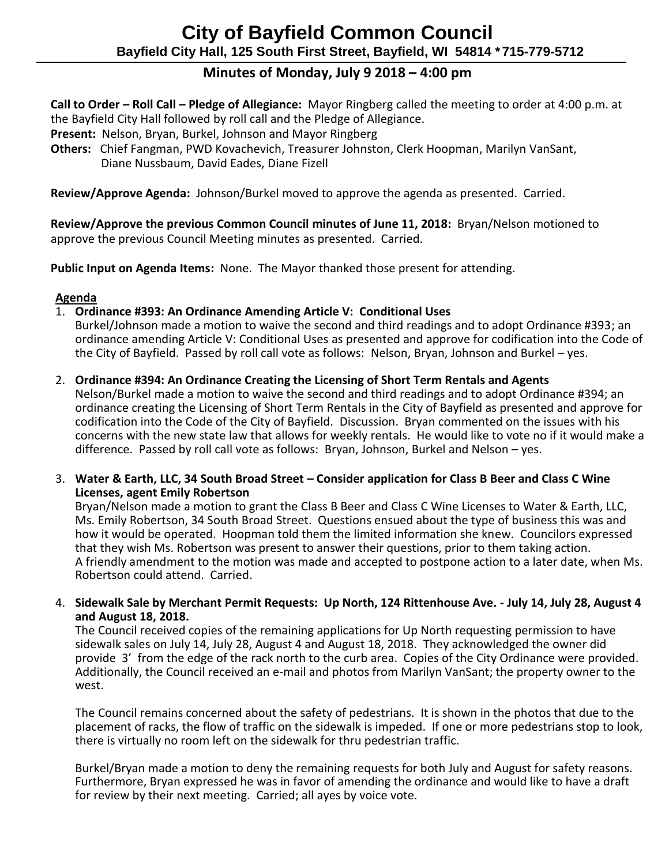# **Minutes of Monday, July 9 2018 – 4:00 pm**

 **Call to Order – Roll Call – Pledge of Allegiance:** Mayor Ringberg called the meeting to order at 4:00 p.m. at the Bayfield City Hall followed by roll call and the Pledge of Allegiance.

- **Present:** Nelson, Bryan, Burkel, Johnson and Mayor Ringberg
- **Others:** Chief Fangman, PWD Kovachevich, Treasurer Johnston, Clerk Hoopman, Marilyn VanSant, Diane Nussbaum, David Eades, Diane Fizell

**Review/Approve Agenda:** Johnson/Burkel moved to approve the agenda as presented. Carried.

 **Review/Approve the previous Common Council minutes of June 11, 2018:** Bryan/Nelson motioned to approve the previous Council Meeting minutes as presented. Carried.

**Public Input on Agenda Items:** None. The Mayor thanked those present for attending.

### **Agenda**

### 1. **Ordinance #393: An Ordinance Amending Article V: Conditional Uses**

- Burkel/Johnson made a motion to waive the second and third readings and to adopt Ordinance #393; an ordinance amending Article V: Conditional Uses as presented and approve for codification into the Code of the City of Bayfield. Passed by roll call vote as follows: Nelson, Bryan, Johnson and Burkel – yes.
- 2. **Ordinance #394: An Ordinance Creating the Licensing of Short Term Rentals and Agents**

Nelson/Burkel made a motion to waive the second and third readings and to adopt Ordinance #394; an ordinance creating the Licensing of Short Term Rentals in the City of Bayfield as presented and approve for codification into the Code of the City of Bayfield. Discussion. Bryan commented on the issues with his concerns with the new state law that allows for weekly rentals. He would like to vote no if it would make a difference. Passed by roll call vote as follows: Bryan, Johnson, Burkel and Nelson – yes.

3. **Water & Earth, LLC, 34 South Broad Street – Consider application for Class B Beer and Class C Wine Licenses, agent Emily Robertson**

Bryan/Nelson made a motion to grant the Class B Beer and Class C Wine Licenses to Water & Earth, LLC, Ms. Emily Robertson, 34 South Broad Street. Questions ensued about the type of business this was and how it would be operated. Hoopman told them the limited information she knew. Councilors expressed that they wish Ms. Robertson was present to answer their questions, prior to them taking action. A friendly amendment to the motion was made and accepted to postpone action to a later date, when Ms. Robertson could attend. Carried.

4. **Sidewalk Sale by Merchant Permit Requests: Up North, 124 Rittenhouse Ave. - July 14, July 28, August 4 and August 18, 2018.**

The Council received copies of the remaining applications for Up North requesting permission to have sidewalk sales on July 14, July 28, August 4 and August 18, 2018. They acknowledged the owner did provide 3' from the edge of the rack north to the curb area. Copies of the City Ordinance were provided. Additionally, the Council received an e-mail and photos from Marilyn VanSant; the property owner to the west.

The Council remains concerned about the safety of pedestrians. It is shown in the photos that due to the placement of racks, the flow of traffic on the sidewalk is impeded. If one or more pedestrians stop to look, there is virtually no room left on the sidewalk for thru pedestrian traffic.

Burkel/Bryan made a motion to deny the remaining requests for both July and August for safety reasons. Furthermore, Bryan expressed he was in favor of amending the ordinance and would like to have a draft for review by their next meeting. Carried; all ayes by voice vote.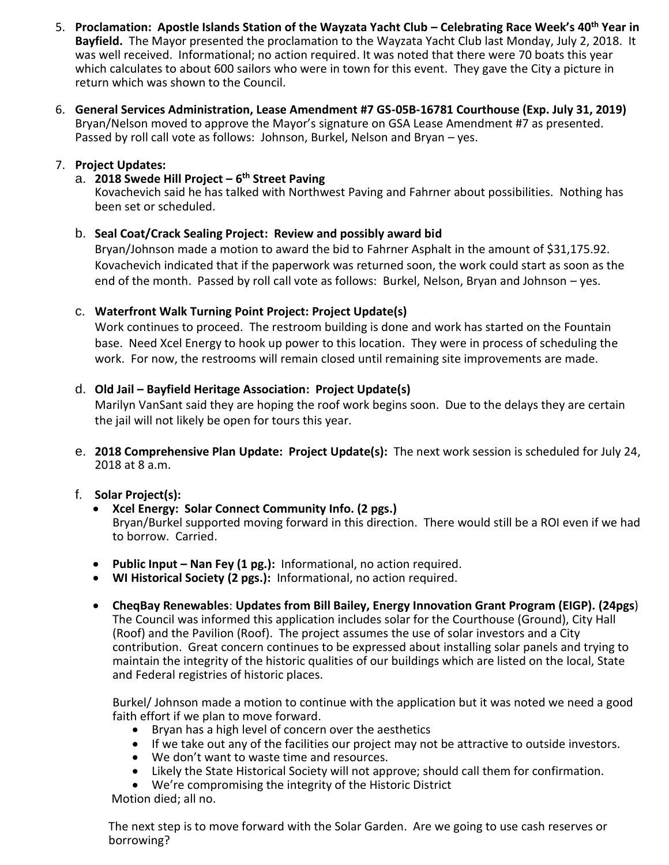- 5. **Proclamation: Apostle Islands Station of the Wayzata Yacht Club – Celebrating Race Week's 40th Year in Bayfield.** The Mayor presented the proclamation to the Wayzata Yacht Club last Monday, July 2, 2018. It was well received. Informational; no action required. It was noted that there were 70 boats this year which calculates to about 600 sailors who were in town for this event. They gave the City a picture in return which was shown to the Council.
- 6. **General Services Administration, Lease Amendment #7 GS-05B-16781 Courthouse (Exp. July 31, 2019)** Bryan/Nelson moved to approve the Mayor's signature on GSA Lease Amendment #7 as presented. Passed by roll call vote as follows: Johnson, Burkel, Nelson and Bryan – yes.

# 7. **Project Updates:**

# a. **2018 Swede Hill Project – 6 th Street Paving**

Kovachevich said he has talked with Northwest Paving and Fahrner about possibilities. Nothing has been set or scheduled.

## b. **Seal Coat/Crack Sealing Project: Review and possibly award bid**

Bryan/Johnson made a motion to award the bid to Fahrner Asphalt in the amount of \$31,175.92. Kovachevich indicated that if the paperwork was returned soon, the work could start as soon as the end of the month. Passed by roll call vote as follows: Burkel, Nelson, Bryan and Johnson – yes.

## c. **Waterfront Walk Turning Point Project: Project Update(s)**

Work continues to proceed. The restroom building is done and work has started on the Fountain base. Need Xcel Energy to hook up power to this location. They were in process of scheduling the work. For now, the restrooms will remain closed until remaining site improvements are made.

## d. **Old Jail – Bayfield Heritage Association: Project Update(s)**

Marilyn VanSant said they are hoping the roof work begins soon. Due to the delays they are certain the jail will not likely be open for tours this year.

e. **2018 Comprehensive Plan Update: Project Update(s):** The next work session is scheduled for July 24, 2018 at 8 a.m.

# f. **Solar Project(s):**

- **Xcel Energy: Solar Connect Community Info. (2 pgs.)** Bryan/Burkel supported moving forward in this direction. There would still be a ROI even if we had to borrow. Carried.
- **Public Input – Nan Fey (1 pg.):** Informational, no action required.
- **WI Historical Society (2 pgs.):** Informational, no action required.
- **CheqBay Renewables**: **Updates from Bill Bailey, Energy Innovation Grant Program (EIGP). (24pgs**) The Council was informed this application includes solar for the Courthouse (Ground), City Hall (Roof) and the Pavilion (Roof). The project assumes the use of solar investors and a City contribution. Great concern continues to be expressed about installing solar panels and trying to maintain the integrity of the historic qualities of our buildings which are listed on the local, State and Federal registries of historic places.

Burkel/ Johnson made a motion to continue with the application but it was noted we need a good faith effort if we plan to move forward.

- Bryan has a high level of concern over the aesthetics
- If we take out any of the facilities our project may not be attractive to outside investors.
- We don't want to waste time and resources.
- Likely the State Historical Society will not approve; should call them for confirmation.
- We're compromising the integrity of the Historic District

Motion died; all no.

The next step is to move forward with the Solar Garden. Are we going to use cash reserves or borrowing?